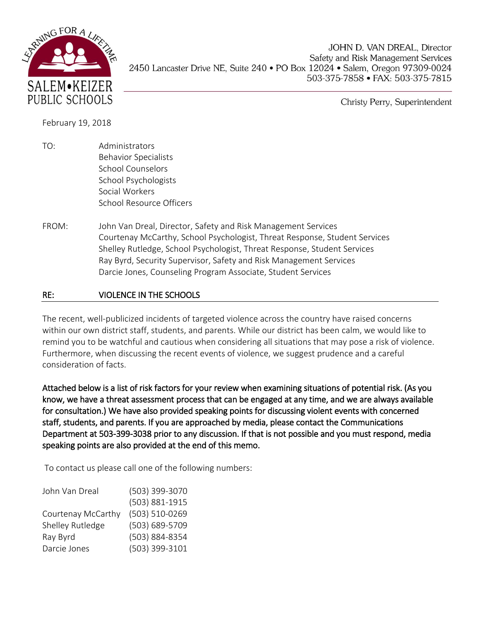

JOHN D. VAN DREAL, Director Safety and Risk Management Services 2450 Lancaster Drive NE, Suite 240 • PO Box 12024 • Salem, Oregon 97309-0024 503-375-7858 • FAX: 503-375-7815

Christy Perry, Superintendent

February 19, 2018

- TO: Administrators Behavior Specialists School Counselors School Psychologists Social Workers School Resource Officers
- FROM: John Van Dreal, Director, Safety and Risk Management Services Courtenay McCarthy, School Psychologist, Threat Response, Student Services Shelley Rutledge, School Psychologist, Threat Response, Student Services Ray Byrd, Security Supervisor, Safety and Risk Management Services Darcie Jones, Counseling Program Associate, Student Services

## RE: VIOLENCE IN THE SCHOOLS

The recent, well-publicized incidents of targeted violence across the country have raised concerns within our own district staff, students, and parents. While our district has been calm, we would like to remind you to be watchful and cautious when considering all situations that may pose a risk of violence. Furthermore, when discussing the recent events of violence, we suggest prudence and a careful consideration of facts.

Attached below is a list of risk factors for your review when examining situations of potential risk. (As you know, we have a threat assessment process that can be engaged at any time, and we are always available for consultation.) We have also provided speaking points for discussing violent events with concerned staff, students, and parents. If you are approached by media, please contact the Communications Department at 503-399-3038 prior to any discussion. If that is not possible and you must respond, media speaking points are also provided at the end of this memo.

To contact us please call one of the following numbers:

| John Van Dreal     | (503) 399-3070 |
|--------------------|----------------|
|                    | (503) 881-1915 |
| Courtenay McCarthy | (503) 510-0269 |
| Shelley Rutledge   | (503) 689-5709 |
| Ray Byrd           | (503) 884-8354 |
| Darcie Jones       | (503) 399-3101 |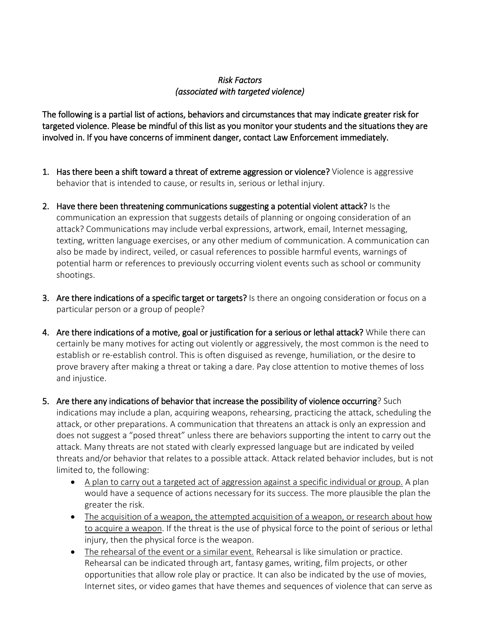## *Risk Factors (associated with targeted violence)*

The following is a partial list of actions, behaviors and circumstances that may indicate greater risk for targeted violence. Please be mindful of this list as you monitor your students and the situations they are involved in. If you have concerns of imminent danger, contact Law Enforcement immediately.

- 1. Has there been a shift toward a threat of extreme aggression or violence? Violence is aggressive behavior that is intended to cause, or results in, serious or lethal injury.
- 2. Have there been threatening communications suggesting a potential violent attack? Is the communication an expression that suggests details of planning or ongoing consideration of an attack? Communications may include verbal expressions, artwork, email, Internet messaging, texting, written language exercises, or any other medium of communication. A communication can also be made by indirect, veiled, or casual references to possible harmful events, warnings of potential harm or references to previously occurring violent events such as school or community shootings.
- 3. Are there indications of a specific target or targets? Is there an ongoing consideration or focus on a particular person or a group of people?
- 4. Are there indications of a motive, goal or justification for a serious or lethal attack? While there can certainly be many motives for acting out violently or aggressively, the most common is the need to establish or re-establish control. This is often disguised as revenge, humiliation, or the desire to prove bravery after making a threat or taking a dare. Pay close attention to motive themes of loss and injustice.
- 5. Are there any indications of behavior that increase the possibility of violence occurring? Such indications may include a plan, acquiring weapons, rehearsing, practicing the attack, scheduling the attack, or other preparations. A communication that threatens an attack is only an expression and does not suggest a "posed threat" unless there are behaviors supporting the intent to carry out the attack. Many threats are not stated with clearly expressed language but are indicated by veiled threats and/or behavior that relates to a possible attack. Attack related behavior includes, but is not limited to, the following:
	- A plan to carry out a targeted act of aggression against a specific individual or group. A plan would have a sequence of actions necessary for its success. The more plausible the plan the greater the risk.
	- The acquisition of a weapon, the attempted acquisition of a weapon, or research about how to acquire a weapon. If the threat is the use of physical force to the point of serious or lethal injury, then the physical force is the weapon.
	- The rehearsal of the event or a similar event. Rehearsal is like simulation or practice. Rehearsal can be indicated through art, fantasy games, writing, film projects, or other opportunities that allow role play or practice. It can also be indicated by the use of movies, Internet sites, or video games that have themes and sequences of violence that can serve as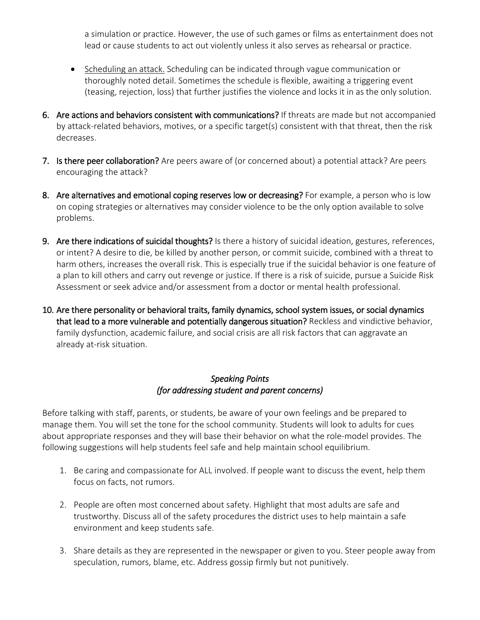a simulation or practice. However, the use of such games or films as entertainment does not lead or cause students to act out violently unless it also serves as rehearsal or practice.

- Scheduling an attack. Scheduling can be indicated through vague communication or thoroughly noted detail. Sometimes the schedule is flexible, awaiting a triggering event (teasing, rejection, loss) that further justifies the violence and locks it in as the only solution.
- 6. Are actions and behaviors consistent with communications? If threats are made but not accompanied by attack-related behaviors, motives, or a specific target(s) consistent with that threat, then the risk decreases.
- 7. Is there peer collaboration? Are peers aware of (or concerned about) a potential attack? Are peers encouraging the attack?
- 8. Are alternatives and emotional coping reserves low or decreasing? For example, a person who is low on coping strategies or alternatives may consider violence to be the only option available to solve problems.
- 9. Are there indications of suicidal thoughts? Is there a history of suicidal ideation, gestures, references, or intent? A desire to die, be killed by another person, or commit suicide, combined with a threat to harm others, increases the overall risk. This is especially true if the suicidal behavior is one feature of a plan to kill others and carry out revenge or justice. If there is a risk of suicide, pursue a Suicide Risk Assessment or seek advice and/or assessment from a doctor or mental health professional.
- 10. Are there personality or behavioral traits, family dynamics, school system issues, or social dynamics that lead to a more vulnerable and potentially dangerous situation? Reckless and vindictive behavior, family dysfunction, academic failure, and social crisis are all risk factors that can aggravate an already at-risk situation.

## *Speaking Points (for addressing student and parent concerns)*

Before talking with staff, parents, or students, be aware of your own feelings and be prepared to manage them. You will set the tone for the school community. Students will look to adults for cues about appropriate responses and they will base their behavior on what the role-model provides. The following suggestions will help students feel safe and help maintain school equilibrium.

- 1. Be caring and compassionate for ALL involved. If people want to discuss the event, help them focus on facts, not rumors.
- 2. People are often most concerned about safety. Highlight that most adults are safe and trustworthy. Discuss all of the safety procedures the district uses to help maintain a safe environment and keep students safe.
- 3. Share details as they are represented in the newspaper or given to you. Steer people away from speculation, rumors, blame, etc. Address gossip firmly but not punitively.